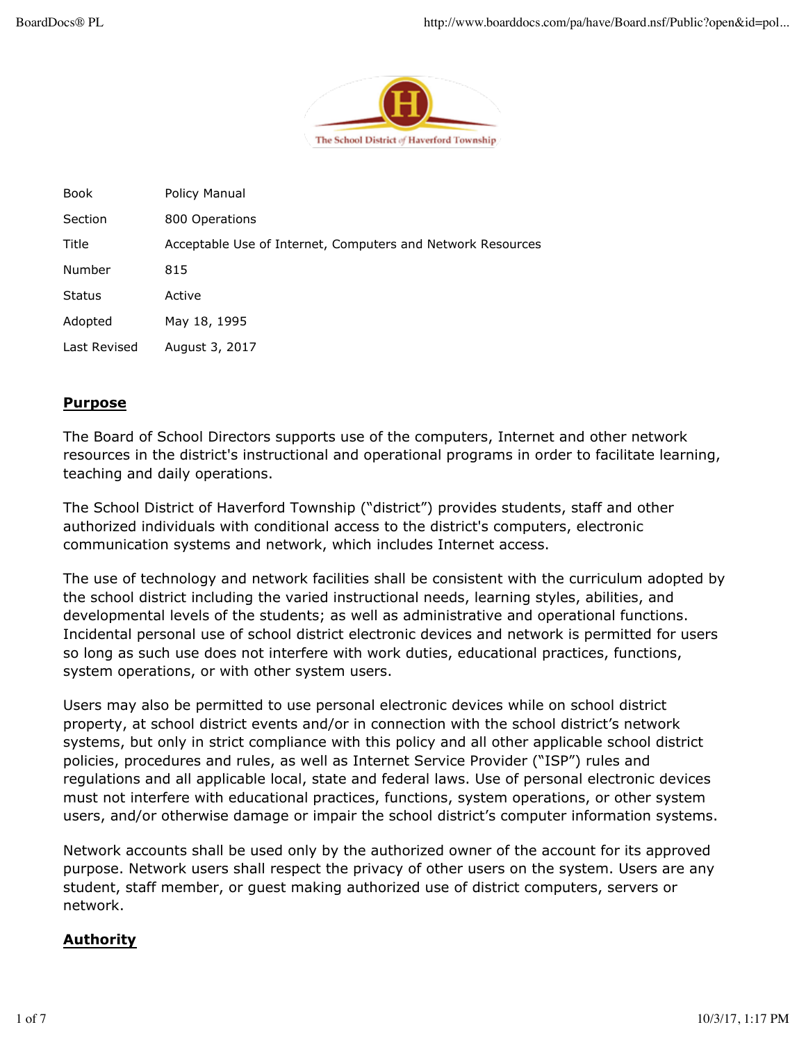

| Book          | <b>Policy Manual</b>                                        |
|---------------|-------------------------------------------------------------|
| Section       | 800 Operations                                              |
| Title         | Acceptable Use of Internet, Computers and Network Resources |
| Number        | 815                                                         |
| <b>Status</b> | Active                                                      |
| Adopted       | May 18, 1995                                                |
| Last Revised  | August 3, 2017                                              |
|               |                                                             |

## **Purpose**

The Board of School Directors supports use of the computers, Internet and other network resources in the district's instructional and operational programs in order to facilitate learning, teaching and daily operations.

The School District of Haverford Township ("district") provides students, staff and other authorized individuals with conditional access to the district's computers, electronic communication systems and network, which includes Internet access.

The use of technology and network facilities shall be consistent with the curriculum adopted by the school district including the varied instructional needs, learning styles, abilities, and developmental levels of the students; as well as administrative and operational functions. Incidental personal use of school district electronic devices and network is permitted for users so long as such use does not interfere with work duties, educational practices, functions, system operations, or with other system users.

Users may also be permitted to use personal electronic devices while on school district property, at school district events and/or in connection with the school district's network systems, but only in strict compliance with this policy and all other applicable school district policies, procedures and rules, as well as Internet Service Provider ("ISP") rules and regulations and all applicable local, state and federal laws. Use of personal electronic devices must not interfere with educational practices, functions, system operations, or other system users, and/or otherwise damage or impair the school district's computer information systems.

Network accounts shall be used only by the authorized owner of the account for its approved purpose. Network users shall respect the privacy of other users on the system. Users are any student, staff member, or guest making authorized use of district computers, servers or network.

### **Authority**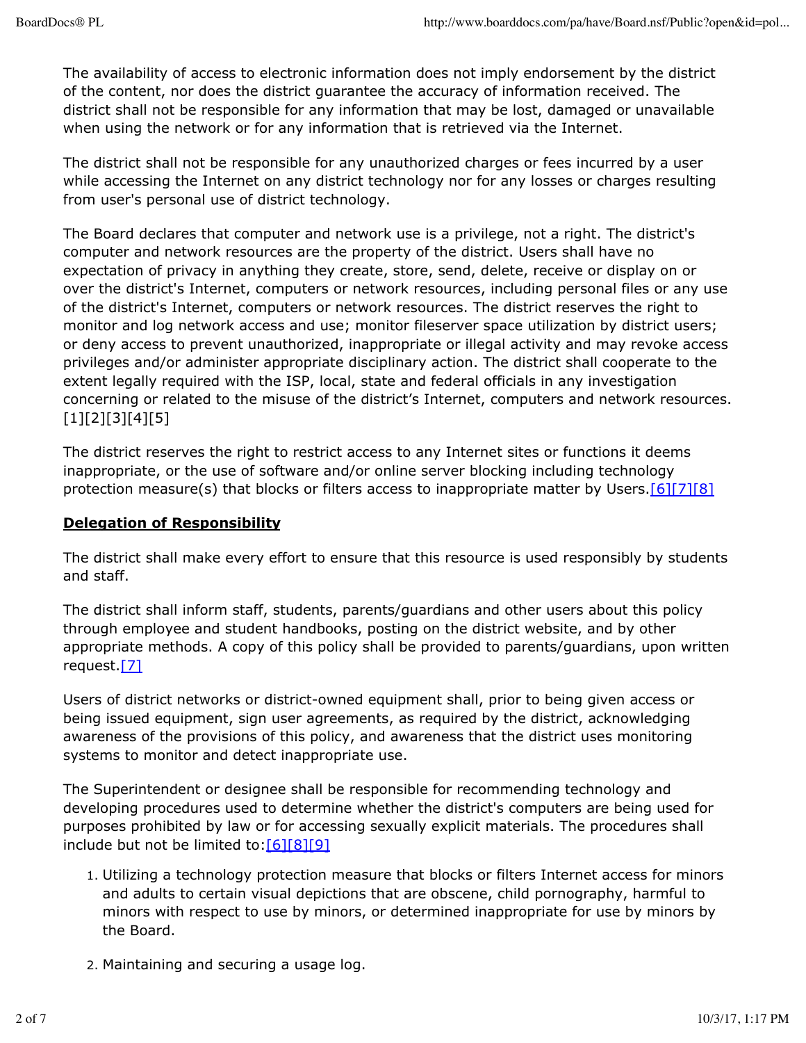The availability of access to electronic information does not imply endorsement by the district of the content, nor does the district guarantee the accuracy of information received. The district shall not be responsible for any information that may be lost, damaged or unavailable when using the network or for any information that is retrieved via the Internet.

The district shall not be responsible for any unauthorized charges or fees incurred by a user while accessing the Internet on any district technology nor for any losses or charges resulting from user's personal use of district technology.

The Board declares that computer and network use is a privilege, not a right. The district's computer and network resources are the property of the district. Users shall have no expectation of privacy in anything they create, store, send, delete, receive or display on or over the district's Internet, computers or network resources, including personal files or any use of the district's Internet, computers or network resources. The district reserves the right to monitor and log network access and use; monitor fileserver space utilization by district users; or deny access to prevent unauthorized, inappropriate or illegal activity and may revoke access privileges and/or administer appropriate disciplinary action. The district shall cooperate to the extent legally required with the ISP, local, state and federal officials in any investigation concerning or related to the misuse of the district's Internet, computers and network resources. [1][2][3][4][5]

The district reserves the right to restrict access to any Internet sites or functions it deems inappropriate, or the use of software and/or online server blocking including technology protection measure(s) that blocks or filters access to inappropriate matter by Users.<sup>[6][7][8]</sup>

# **Delegation of Responsibility**

The district shall make every effort to ensure that this resource is used responsibly by students and staff.

The district shall inform staff, students, parents/guardians and other users about this policy through employee and student handbooks, posting on the district website, and by other appropriate methods. A copy of this policy shall be provided to parents/guardians, upon written request.<sup>[7]</sup>

Users of district networks or district-owned equipment shall, prior to being given access or being issued equipment, sign user agreements, as required by the district, acknowledging awareness of the provisions of this policy, and awareness that the district uses monitoring systems to monitor and detect inappropriate use.

The Superintendent or designee shall be responsible for recommending technology and developing procedures used to determine whether the district's computers are being used for purposes prohibited by law or for accessing sexually explicit materials. The procedures shall include but not be limited to:[6][8][9]

- 1. Utilizing a technology protection measure that blocks or filters Internet access for minors and adults to certain visual depictions that are obscene, child pornography, harmful to minors with respect to use by minors, or determined inappropriate for use by minors by the Board.
- 2. Maintaining and securing a usage log.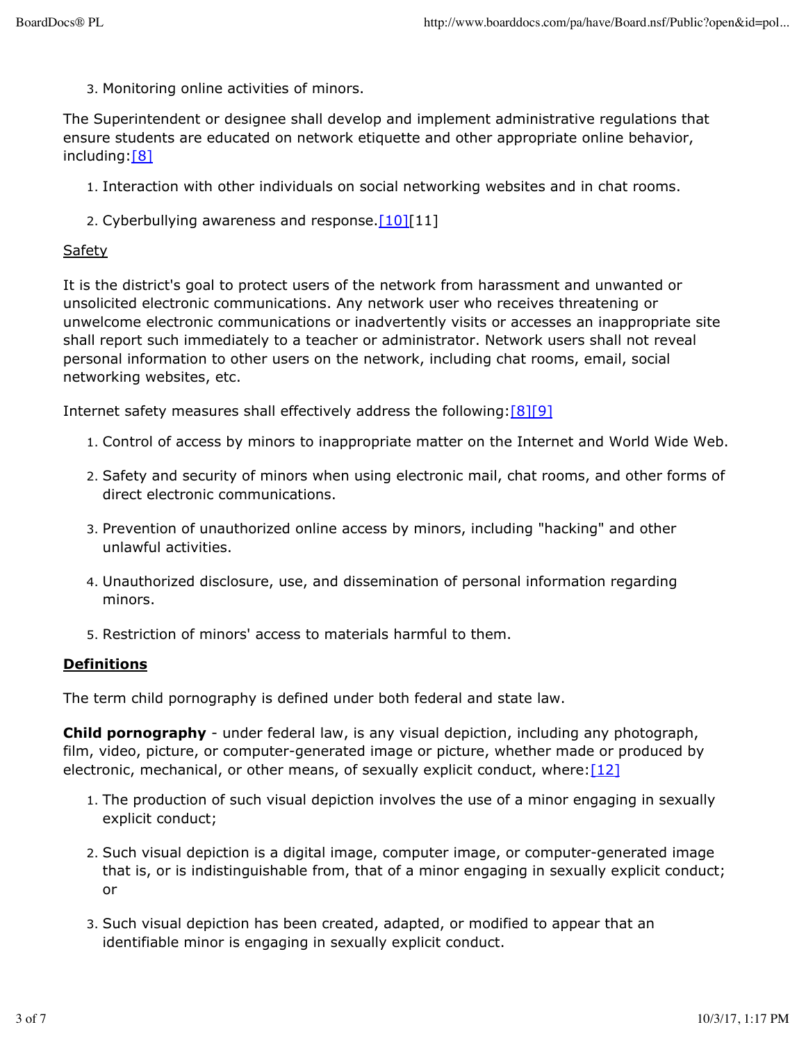3. Monitoring online activities of minors.

The Superintendent or designee shall develop and implement administrative regulations that ensure students are educated on network etiquette and other appropriate online behavior, including:[8]

- 1. Interaction with other individuals on social networking websites and in chat rooms.
- 2. Cyberbullying awareness and response. $[10][11]$

#### Safety

It is the district's goal to protect users of the network from harassment and unwanted or unsolicited electronic communications. Any network user who receives threatening or unwelcome electronic communications or inadvertently visits or accesses an inappropriate site shall report such immediately to a teacher or administrator. Network users shall not reveal personal information to other users on the network, including chat rooms, email, social networking websites, etc.

Internet safety measures shall effectively address the following:[8][9]

- 1. Control of access by minors to inappropriate matter on the Internet and World Wide Web.
- 2. Safety and security of minors when using electronic mail, chat rooms, and other forms of direct electronic communications.
- 3. Prevention of unauthorized online access by minors, including "hacking" and other unlawful activities.
- 4. Unauthorized disclosure, use, and dissemination of personal information regarding minors.
- 5. Restriction of minors' access to materials harmful to them.

### **Definitions**

The term child pornography is defined under both federal and state law.

**Child pornography** - under federal law, is any visual depiction, including any photograph, film, video, picture, or computer-generated image or picture, whether made or produced by electronic, mechanical, or other means, of sexually explicit conduct, where: $[12]$ 

- 1. The production of such visual depiction involves the use of a minor engaging in sexually explicit conduct;
- 2. Such visual depiction is a digital image, computer image, or computer-generated image that is, or is indistinguishable from, that of a minor engaging in sexually explicit conduct; or
- 3. Such visual depiction has been created, adapted, or modified to appear that an identifiable minor is engaging in sexually explicit conduct.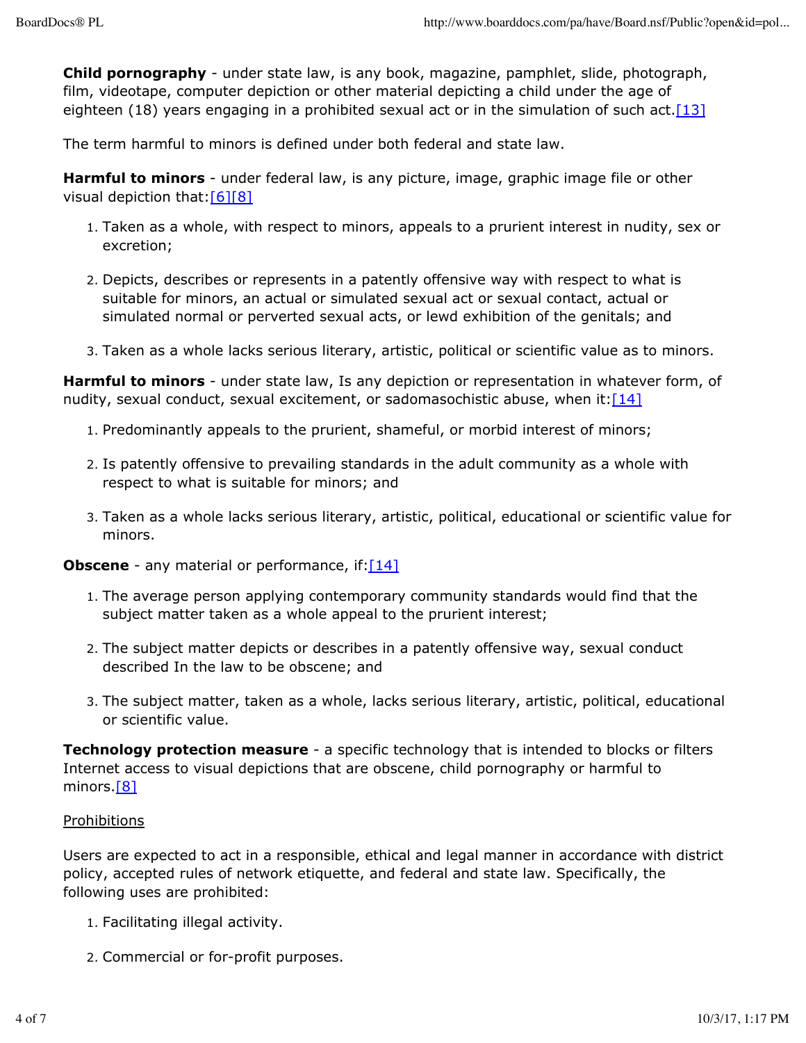**Child pornography** - under state law, is any book, magazine, pamphlet, slide, photograph, film, videotape, computer depiction or other material depicting a child under the age of eighteen (18) years engaging in a prohibited sexual act or in the simulation of such act. [13]

The term harmful to minors is defined under both federal and state law.

**Harmful to minors** - under federal law, is any picture, image, graphic image file or other visual depiction that: [6][8]

- 1. Taken as a whole, with respect to minors, appeals to a prurient interest in nudity, sex or excretion;
- 2. Depicts, describes or represents in a patently offensive way with respect to what is suitable for minors, an actual or simulated sexual act or sexual contact, actual or simulated normal or perverted sexual acts, or lewd exhibition of the genitals; and
- 3. Taken as a whole lacks serious literary, artistic, political or scientific value as to minors.

**Harmful to minors** - under state law, Is any depiction or representation in whatever form, of nudity, sexual conduct, sexual excitement, or sadomasochistic abuse, when it: $[14]$ 

- 1. Predominantly appeals to the prurient, shameful, or morbid interest of minors;
- 2. Is patently offensive to prevailing standards in the adult community as a whole with respect to what is suitable for minors; and
- 3. Taken as a whole lacks serious literary, artistic, political, educational or scientific value for minors.

**Obscene** - any material or performance, if: [14]

- 1. The average person applying contemporary community standards would find that the subject matter taken as a whole appeal to the prurient interest;
- 2. The subject matter depicts or describes in a patently offensive way, sexual conduct described In the law to be obscene; and
- 3. The subject matter, taken as a whole, lacks serious literary, artistic, political, educational or scientific value.

**Technology protection measure** - a specific technology that is intended to blocks or filters Internet access to visual depictions that are obscene, child pornography or harmful to minors.<sup>[8]</sup>

### Prohibitions

Users are expected to act in a responsible, ethical and legal manner in accordance with district policy, accepted rules of network etiquette, and federal and state law. Specifically, the following uses are prohibited:

- 1. Facilitating illegal activity.
- 2. Commercial or for-profit purposes.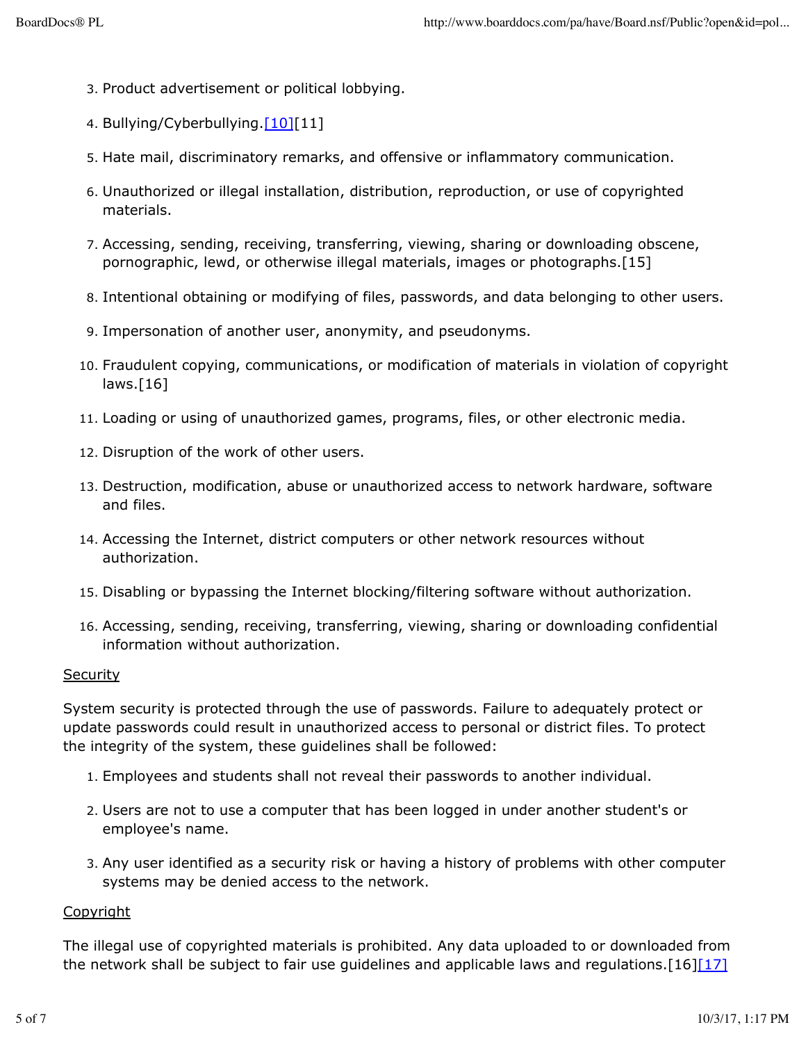- 3. Product advertisement or political lobbying.
- 4. Bullying/Cyberbullying.[10][11]
- 5. Hate mail, discriminatory remarks, and offensive or inflammatory communication.
- 6. Unauthorized or illegal installation, distribution, reproduction, or use of copyrighted materials.
- 7. Accessing, sending, receiving, transferring, viewing, sharing or downloading obscene, pornographic, lewd, or otherwise illegal materials, images or photographs.[15]
- 8. Intentional obtaining or modifying of files, passwords, and data belonging to other users.
- 9. Impersonation of another user, anonymity, and pseudonyms.
- 10. Fraudulent copying, communications, or modification of materials in violation of copyright laws.[16]
- 11. Loading or using of unauthorized games, programs, files, or other electronic media.
- 12. Disruption of the work of other users.
- 13. Destruction, modification, abuse or unauthorized access to network hardware, software and files.
- 14. Accessing the Internet, district computers or other network resources without authorization.
- 15. Disabling or bypassing the Internet blocking/filtering software without authorization.
- 16. Accessing, sending, receiving, transferring, viewing, sharing or downloading confidential information without authorization.

#### **Security**

System security is protected through the use of passwords. Failure to adequately protect or update passwords could result in unauthorized access to personal or district files. To protect the integrity of the system, these guidelines shall be followed:

- 1. Employees and students shall not reveal their passwords to another individual.
- 2. Users are not to use a computer that has been logged in under another student's or employee's name.
- 3. Any user identified as a security risk or having a history of problems with other computer systems may be denied access to the network.

### **Copyright**

The illegal use of copyrighted materials is prohibited. Any data uploaded to or downloaded from the network shall be subject to fair use guidelines and applicable laws and regulations. [16][17]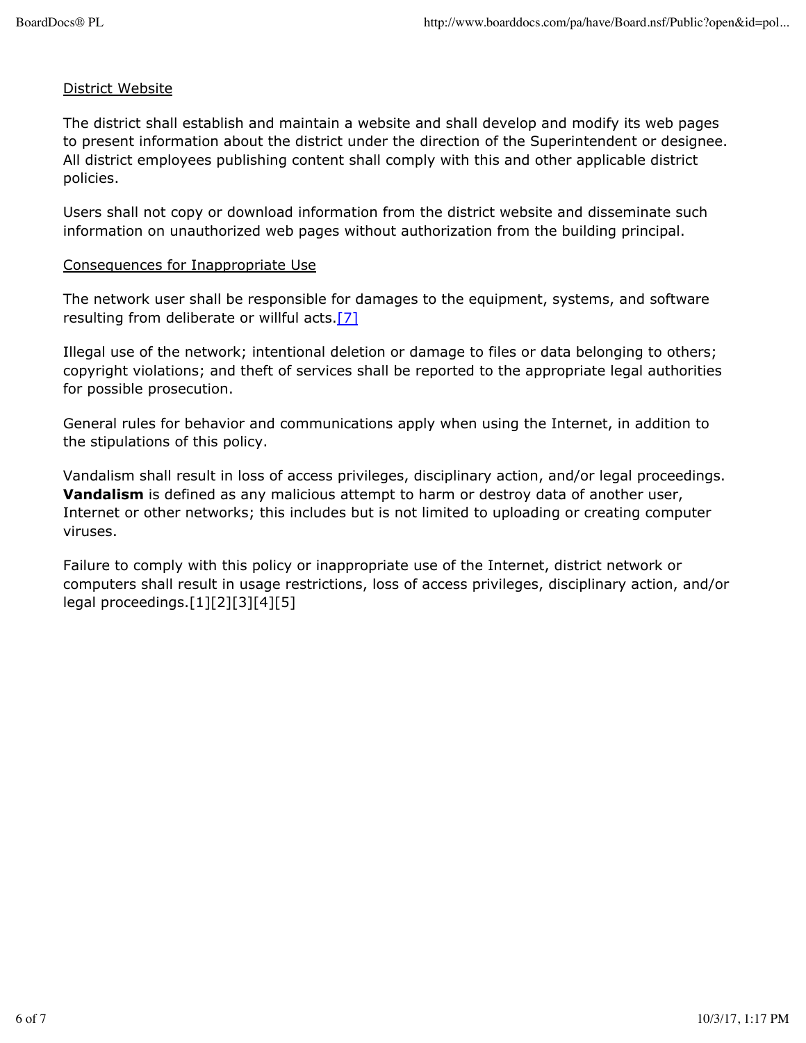### District Website

The district shall establish and maintain a website and shall develop and modify its web pages to present information about the district under the direction of the Superintendent or designee. All district employees publishing content shall comply with this and other applicable district policies.

Users shall not copy or download information from the district website and disseminate such information on unauthorized web pages without authorization from the building principal.

### Consequences for Inappropriate Use

The network user shall be responsible for damages to the equipment, systems, and software resulting from deliberate or willful acts.<sup>[7]</sup>

Illegal use of the network; intentional deletion or damage to files or data belonging to others; copyright violations; and theft of services shall be reported to the appropriate legal authorities for possible prosecution.

General rules for behavior and communications apply when using the Internet, in addition to the stipulations of this policy.

Vandalism shall result in loss of access privileges, disciplinary action, and/or legal proceedings. **Vandalism** is defined as any malicious attempt to harm or destroy data of another user, Internet or other networks; this includes but is not limited to uploading or creating computer viruses.

Failure to comply with this policy or inappropriate use of the Internet, district network or computers shall result in usage restrictions, loss of access privileges, disciplinary action, and/or legal proceedings.[1][2][3][4][5]